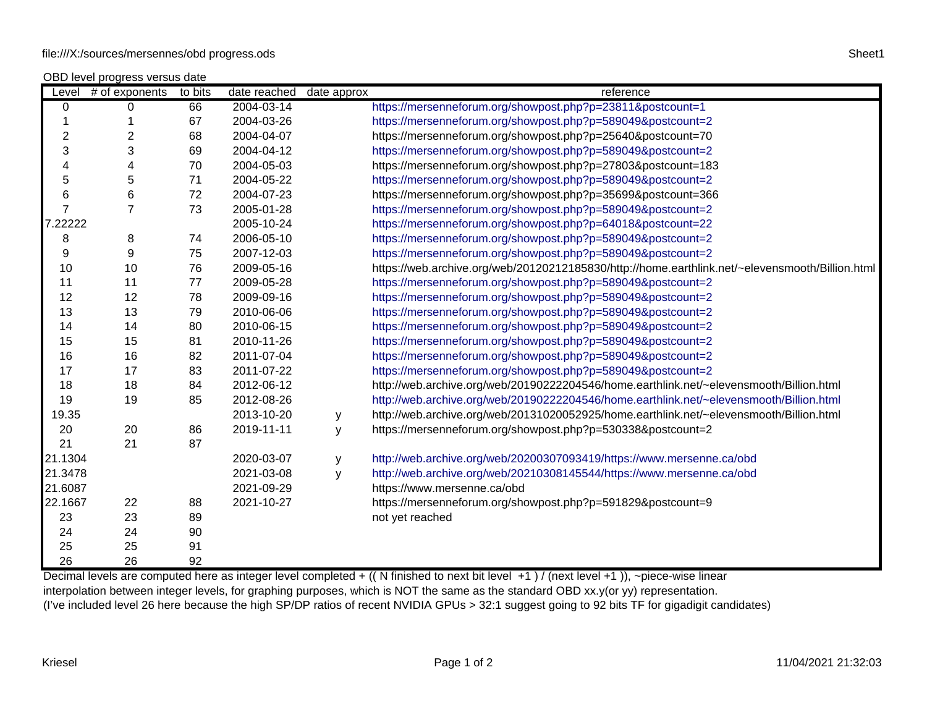OBD level progress versus date

|                                                                                                                                       | Level $#$ of exponents | to bits | date reached | date approx | reference                                                                                       |
|---------------------------------------------------------------------------------------------------------------------------------------|------------------------|---------|--------------|-------------|-------------------------------------------------------------------------------------------------|
| $\overline{0}$                                                                                                                        | 0                      | 66      | 2004-03-14   |             | https://mersenneforum.org/showpost.php?p=23811&postcount=1                                      |
| $\mathbf{1}$                                                                                                                          | 1                      | 67      | 2004-03-26   |             | https://mersenneforum.org/showpost.php?p=589049&postcount=2                                     |
| $\overline{c}$                                                                                                                        | $\overline{c}$         | 68      | 2004-04-07   |             | https://mersenneforum.org/showpost.php?p=25640&postcount=70                                     |
| 3                                                                                                                                     | 3                      | 69      | 2004-04-12   |             | https://mersenneforum.org/showpost.php?p=589049&postcount=2                                     |
| 4                                                                                                                                     | 4                      | 70      | 2004-05-03   |             | https://mersenneforum.org/showpost.php?p=27803&postcount=183                                    |
| 5                                                                                                                                     | 5                      | 71      | 2004-05-22   |             | https://mersenneforum.org/showpost.php?p=589049&postcount=2                                     |
| 6                                                                                                                                     | 6                      | 72      | 2004-07-23   |             | https://mersenneforum.org/showpost.php?p=35699&postcount=366                                    |
| $\overline{7}$                                                                                                                        | $\overline{7}$         | 73      | 2005-01-28   |             | https://mersenneforum.org/showpost.php?p=589049&postcount=2                                     |
| 7.22222                                                                                                                               |                        |         | 2005-10-24   |             | https://mersenneforum.org/showpost.php?p=64018&postcount=22                                     |
| 8                                                                                                                                     | 8                      | 74      | 2006-05-10   |             | https://mersenneforum.org/showpost.php?p=589049&postcount=2                                     |
| 9                                                                                                                                     | $\boldsymbol{9}$       | 75      | 2007-12-03   |             | https://mersenneforum.org/showpost.php?p=589049&postcount=2                                     |
| 10                                                                                                                                    | 10                     | 76      | 2009-05-16   |             | https://web.archive.org/web/20120212185830/http://home.earthlink.net/~elevensmooth/Billion.html |
| 11                                                                                                                                    | 11                     | 77      | 2009-05-28   |             | https://mersenneforum.org/showpost.php?p=589049&postcount=2                                     |
| 12                                                                                                                                    | 12                     | 78      | 2009-09-16   |             | https://mersenneforum.org/showpost.php?p=589049&postcount=2                                     |
| 13                                                                                                                                    | 13                     | 79      | 2010-06-06   |             | https://mersenneforum.org/showpost.php?p=589049&postcount=2                                     |
| 14                                                                                                                                    | 14                     | 80      | 2010-06-15   |             | https://mersenneforum.org/showpost.php?p=589049&postcount=2                                     |
| 15                                                                                                                                    | 15                     | 81      | 2010-11-26   |             | https://mersenneforum.org/showpost.php?p=589049&postcount=2                                     |
| 16                                                                                                                                    | 16                     | 82      | 2011-07-04   |             | https://mersenneforum.org/showpost.php?p=589049&postcount=2                                     |
| 17                                                                                                                                    | 17                     | 83      | 2011-07-22   |             | https://mersenneforum.org/showpost.php?p=589049&postcount=2                                     |
| 18                                                                                                                                    | 18                     | 84      | 2012-06-12   |             | http://web.archive.org/web/20190222204546/home.earthlink.net/~elevensmooth/Billion.html         |
| 19                                                                                                                                    | 19                     | 85      | 2012-08-26   |             | http://web.archive.org/web/20190222204546/home.earthlink.net/~elevensmooth/Billion.html         |
| 19.35                                                                                                                                 |                        |         | 2013-10-20   | У           | http://web.archive.org/web/20131020052925/home.earthlink.net/~elevensmooth/Billion.html         |
| 20                                                                                                                                    | 20                     | 86      | 2019-11-11   | У           | https://mersenneforum.org/showpost.php?p=530338&postcount=2                                     |
| 21                                                                                                                                    | 21                     | 87      |              |             |                                                                                                 |
| 21.1304                                                                                                                               |                        |         | 2020-03-07   | y           | http://web.archive.org/web/20200307093419/https://www.mersenne.ca/obd                           |
| 21.3478                                                                                                                               |                        |         | 2021-03-08   | y           | http://web.archive.org/web/20210308145544/https://www.mersenne.ca/obd                           |
| 21.6087                                                                                                                               |                        |         | 2021-09-29   |             | https://www.mersenne.ca/obd                                                                     |
| 22.1667                                                                                                                               | 22                     | 88      | 2021-10-27   |             | https://mersenneforum.org/showpost.php?p=591829&postcount=9                                     |
| 23                                                                                                                                    | 23                     | 89      |              |             | not yet reached                                                                                 |
| 24                                                                                                                                    | 24                     | 90      |              |             |                                                                                                 |
| 25                                                                                                                                    | 25                     | 91      |              |             |                                                                                                 |
| 26                                                                                                                                    | 26                     | 92      |              |             |                                                                                                 |
| Decimal levels are computed here as integer level completed + ((N finished to next bit level +1)/(next level +1)), ~piece-wise linear |                        |         |              |             |                                                                                                 |

interpolation between integer levels, for graphing purposes, which is NOT the same as the standard OBD xx.y(or yy) representation. (I've included level 26 here because the high SP/DP ratios of recent NVIDIA GPUs > 32:1 suggest going to 92 bits TF for gigadigit candidates)